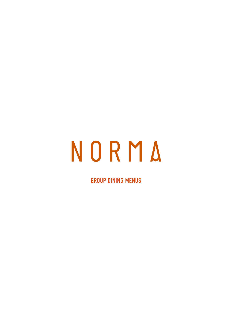# NORMA

GROUP DINING MENUS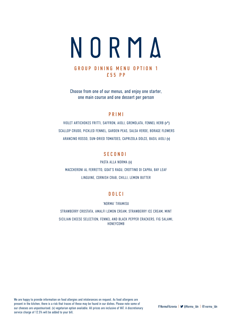

# GROUP DINING MENU OPTION 1 £55 PP

Choose from one of our menus, and enjoy one starter, one main course and one dessert per person

# PRIMI

 VIOLET ARTICHOKES FRITTI, SAFFRON, AIOLI, GREMOLATA, FENNEL HERB (v\*) SCALLOP CRUDO, PICKLED FENNEL, GARDEN PEAS, SALSA VERDE, BORAGE FLOWERS ARANCINO ROSSO, SUN-DRIED TOMATOES, CAPRIZOLA DOLCE, BASIL AIOLI (v)

# **SECONDI**

PASTA ALLA NORMA (v) MACCHERONI AL FERRETTO, GOAT'S RAGU, CROTTINO DI CAPRA, BAY LEAF LINGUINE, CORNISH CRAB, CHILLI, LEMON BUTTER

# DOLCI

'NORMA' TIRAMISU

STRAWBERRY CROSTATA, AMALFI LEMON CREAM, STRAWBERRY ICE CREAM, MINT

SICILIAN CHEESE SELECTION, FENNEL AND BLACK PEPPER CRACKERS, FIG SALAMI, HONEYCOMB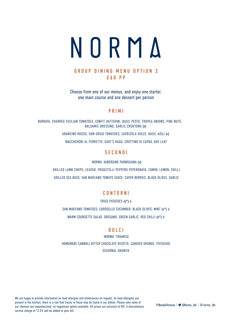

# GROUP DINING MENU OPTION 2 £60 PP

Choose from one of our menus, and enjoy one starter, one main course and one dessert per person

## PRIMI

BURRATA, CHARRED SICILIAN TOMATOES, CONFIT DATTERINI, BASIL PESTO, TROPEA ONIONS, PINE NUTS, BALSAMIC DRESSING, GARLIC CROUTONS (v)

ARANCINO ROSSO, SUN-DRIED TOMATOES, CAPRIZOLA DOLCE, BASIL AIOLI (v)

MACCHERONI AL FERRETTO, GOAT'S RAGU, CROTTINO DI CAPRA, BAY LEAF

# **SECONDI**

'NORMA' AUBERGINE PARMIGIANA (v)

GRILLED LAMB CHOPS, ZA'ATAR, FRIGGITELLI PEPPERS PEPERONATA, CUMIN, LEMON, CHILLI

GRILLED SEA BASS, SAN MARZANO TOMATO SAUCE, CAPER BERRIES, BLACK OLIVES, GARLIC

# CONTORNI

FRIED POTATOES (v\*) 6

SAN MARZANO TOMATOES, CAROSELLO CUCUMBER, BLACK OLIVES, MINT (v\*) 6

WARM COURGETTE SALAD, OREGANO, GREEN GARLIC, RED CHILLI (v\*) 6

# DOLCI

'NORMA' TIRAMISU HOMEMADE CANNOLI BITTER CHOCOLATE RICOTTA, CANDIED ORANGE, PISTACHIO SEASONAL GRANITA

We are happy to provide information on food allergies and intolerances on request. As food allergens are present in the kitchen, there is a risk that traces of these may be found in our dishes. Please note some of our cheeses are unpasteurised. (v) vegetarian option available. All prices are inclusive of VAT. A discretionary service charge of 12.5% will be added to your bill.